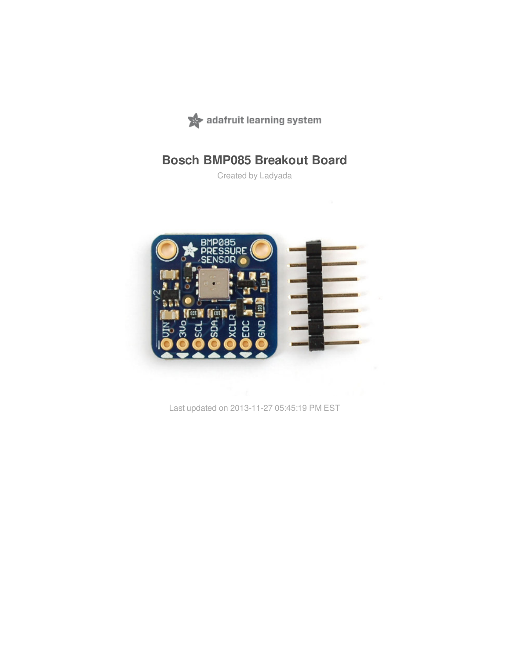

## **Bosch BMP085 Breakout Board**

Created by Ladyada



Last updated on 2013-11-27 05:45:19 PM EST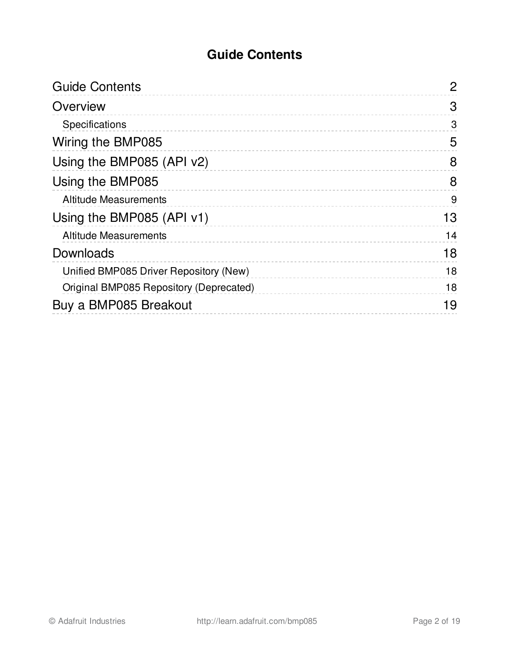### **Guide Contents**

<span id="page-1-0"></span>

| 2  |
|----|
| 3  |
| 3  |
| 5  |
| 8  |
| 8  |
| 9  |
| 13 |
| 14 |
| 18 |
| 18 |
| 18 |
| 19 |
|    |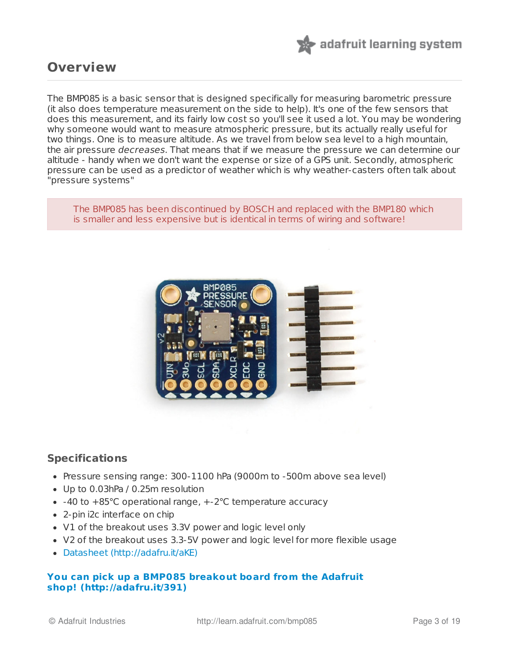

### <span id="page-2-0"></span>**Overview**

The BMP085 is a basic sensor that is designed specifically for measuring barometric pressure (it also does temperature measurement on the side to help). It's one of the few sensors that does this measurement, and its fairly low cost so you'll see it used a lot. You may be wondering why someone would want to measure atmospheric pressure, but its actually really useful for two things. One is to measure altitude. As we travel from below sea level to a high mountain, the air pressure decreases. That means that if we measure the pressure we can determine our altitude - handy when we don't want the expense or size of a GPS unit. Secondly, atmospheric pressure can be used as a predictor of weather which is why weather-casters often talk about "pressure systems"

The BMP085 has been discontinued by BOSCH and replaced with the BMP180 which is smaller and less expensive but is identical in terms of wiring and software!



#### <span id="page-2-1"></span>**Specifications**

- Pressure sensing range: 300-1100 hPa (9000m to -500m above sea level)
- Up to 0.03hPa / 0.25m resolution
- -40 to +85°C operational range, +-2°C temperature accuracy
- 2-pin i2c interface on chip
- V1 of the breakout uses 3.3V power and logic level only
- V2 of the breakout uses 3.3-5V power and logic level for more flexible usage
- [Datasheet](http://www.adafruit.com/datasheets/BMP085_DataSheet_Rev.1.0_01July2008.pdf) (http://adafru.it/aKE)

#### **You can pick up a BMP085 breakout board from the Adafruit shop! [\(http://adafru.it/391\)](http://www.adafruit.com/products/391)**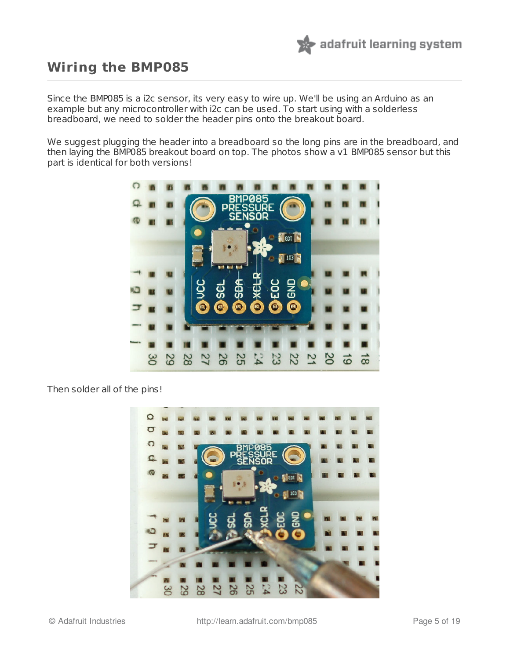

### <span id="page-4-0"></span>**Wiring the BMP085**

Since the BMP085 is a i2c sensor, its very easy to wire up. We'll be using an Arduino as an example but any microcontroller with i2c can be used. To start using with a solderless breadboard, we need to solder the header pins onto the breakout board.

We suggest plugging the header into a breadboard so the long pins are in the breadboard, and then laying the BMP085 breakout board on top. The photos show a v1 BMP085 sensor but this part is identical for both versions!



Then solder all of the pins!

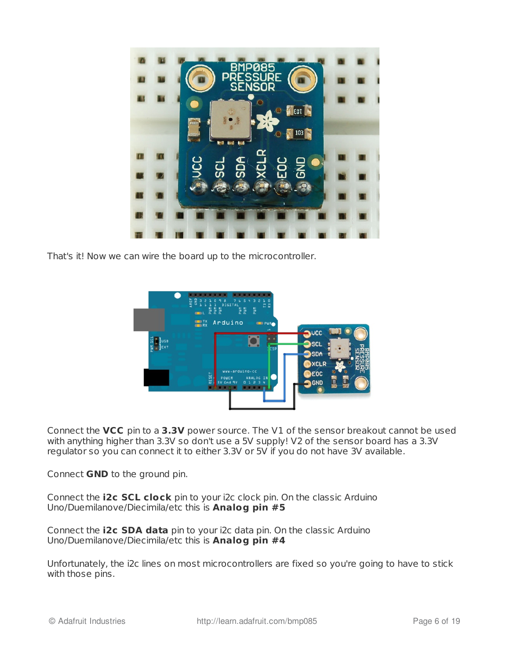

That's it! Now we can wire the board up to the microcontroller.



Connect the **VCC** pin to a **3.3V** power source. The V1 of the sensor breakout cannot be used with anything higher than 3.3V so don't use a 5V supply! V2 of the sensor board has a 3.3V regulator so you can connect it to either 3.3V or 5V if you do not have 3V available.

Connect **GND** to the ground pin.

Connect the **i2c SCL clock** pin to your i2c clock pin. On the classic Arduino Uno/Duemilanove/Diecimila/etc this is **Analog pin #5**

Connect the **i2c SDA data** pin to your i2c data pin. On the classic Arduino Uno/Duemilanove/Diecimila/etc this is **Analog pin #4**

Unfortunately, the i2c lines on most microcontrollers are fixed so you're going to have to stick with those pins.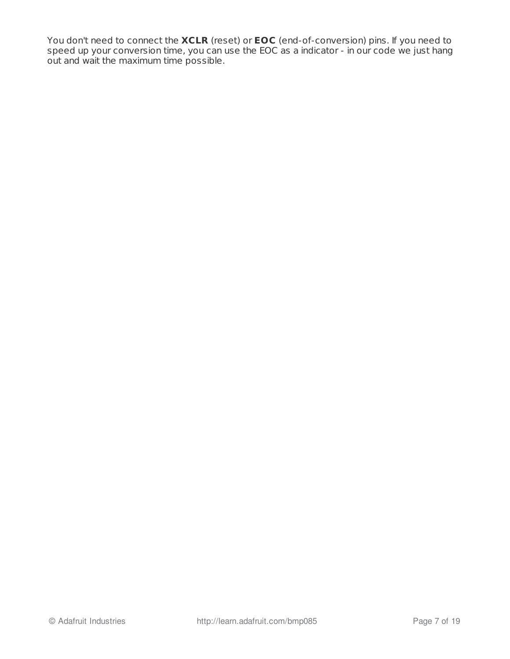You don't need to connect the **XCLR** (reset) or **EOC** (end-of-conversion) pins. If you need to speed up your conversion time, you can use the EOC as a indicator - in our code we just hang out and wait the maximum time possible.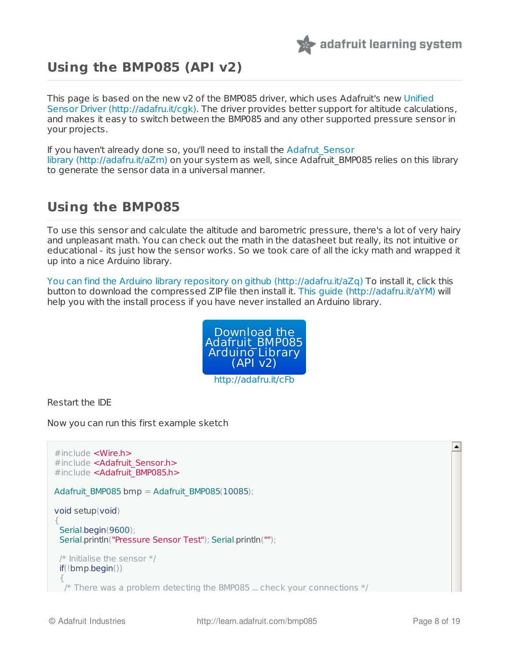

## <span id="page-7-0"></span>**Using the BMP085 (API v2)**

This page is based on the new v2 of the BMP085 driver, which uses Adafruit's new Unified Sensor Driver [\(http://adafru.it/cgk\).](http://learn.adafruit.com/using-the-adafruit-unified-sensor-driver/introduction) The driver provides better support for altitude calculations, and makes it easy to switch between the BMP085 and any other supported pressure sensor in your projects.

If you haven't already done so, you'll need to install the Adafrut\_Sensor library [\(http://adafru.it/aZm\)](https://github.com/adafruit/Adafruit_Sensor) on your system as well, since Adafruit\_BMP085 relies on this library to generate the sensor data in a universal manner.

### <span id="page-7-1"></span>**Using the BMP085**

To use this sensor and calculate the altitude and barometric pressure, there's a lot of very hairy and unpleasant math. You can check out the math in the datasheet but really, its not intuitive or educational - its just how the sensor works. So we took care of all the icky math and wrapped it up into a nice Arduino library.

You can find the Arduino library [repository](https://github.com/adafruit/Adafruit_BMP085_Unified) on github (http://adafru.it/aZq) To install it, click this button to download the compressed ZIP file then install it. This [guide](http://learn.adafruit.com/adafruit-all-about-arduino-libraries-install-use) (http://adafru.it/aYM) will help you with the install process if you have never installed an Arduino library.



Restart the IDE

Now you can run this first example sketch

```
×
#include <Wire.h>
#include <Adafruit Sensor.h>
#include <Adafruit BMP085.h>
Adafruit_BMP085 bmp = Adafruit_BMP085(10085);
void setup(void)
{
 Serial.begin(9600);
 Serial.println("Pressure Sensor Test"); Serial.println("");
 /* Initialise the sensor */if(!bmp.begin())
 {
 \frac{1}{2} There was a problem detecting the BMP085 ... check your connections \frac{1}{2}
```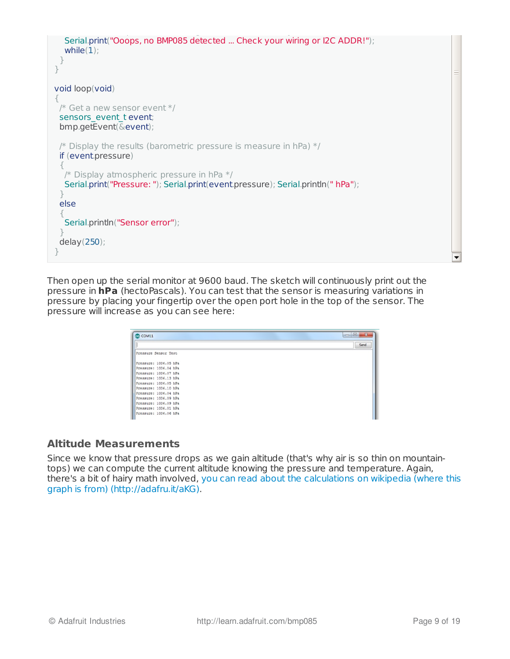

Then open up the serial monitor at 9600 baud. The sketch will continuously print out the pressure in **hPa** (hectoPascals). You can test that the sensor is measuring variations in pressure by placing your fingertip over the open port hole in the top of the sensor. The pressure will increase as you can see here:

| COM11                 | $\mathbf{z}$<br>$\Box$ e |
|-----------------------|--------------------------|
|                       | Send                     |
| Pressure Sensor Test  |                          |
| Pressure: 1006.05 hPa |                          |
| Pressure: 1006.04 hPa |                          |
| Pressure: 1006.07 hPa |                          |
| Pressure: 1006.13 hPa |                          |
| Pressure: 1006.05 hPa |                          |
| Pressure: 1006.10 hPa |                          |
| Pressure: 1006.04 hPa |                          |
| Pressure: 1006.09 hPa |                          |
| Pressure: 1006.09 hPa |                          |
| Pressure: 1006.01 hPa |                          |
| Pressure: 1006.06 hPa |                          |

#### <span id="page-8-0"></span>**Altitude Measurements**

Since we know that pressure drops as we gain altitude (that's why air is so thin on mountaintops) we can compute the current altitude knowing the pressure and temperature. Again, there's a bit of hairy math involved, you can read about the calculations on wikipedia (where this graph is from) [\(http://adafru.it/aKG\).](http://en.wikipedia.org/wiki/Barometric_pressure)

 $\overline{\phantom{a}}$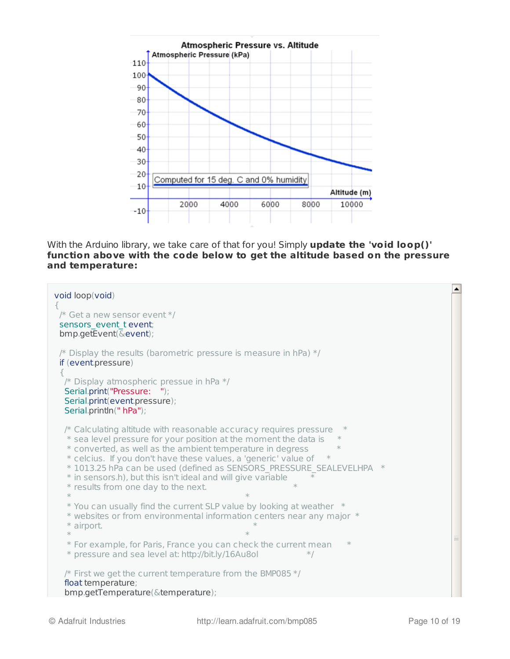

With the Arduino library, we take care of that for you! Simply **update the 'void loop()' function above with the code below to get the altitude based on the pressure and temperature:**

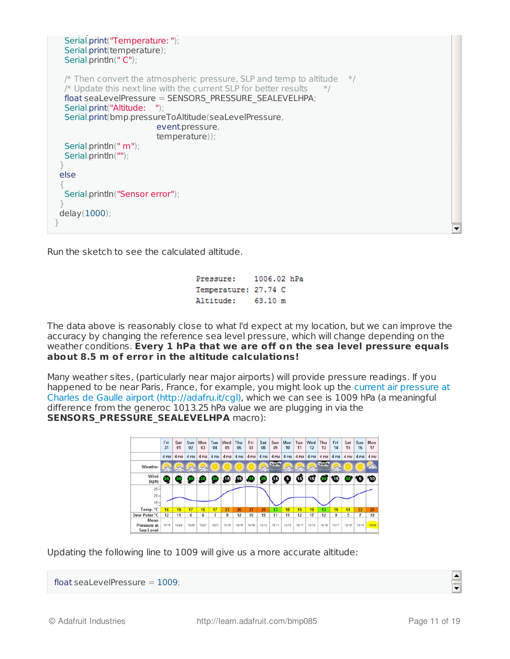```
\mathcal{L}_{\mathcal{A}} between \mathcal{L}_{\mathcal{A}} and \mathcal{L}_{\mathcal{A}} and \mathcal{L}_{\mathcal{A}} and \mathcal{L}_{\mathcal{A}} and \mathcal{L}_{\mathcal{A}}Serial.print("Temperature: ");
   Serial.print(temperature);
   Serial.println(" C");
   /* Then convert the atmospheric pressure, SLP and temp to altitude */* Update this next line with the current SLP for better results *float seaLevelPressure = SENSORS_PRESSURE_SEALEVELHPA;
   Serial.print("Altitude: ");
   Serial.print(bmp.pressureToAltitude(seaLevelPressure,
                               event.pressure,
                               temperature));
   Serial.println(" m");
  Serial.println("");
 }
 else
 {
   Serial.println("Sensor error");
 }
 delay(1000);
}
```
Run the sketch to see the calculated altitude.

| Pressure:            | 1006.02 hPa |  |
|----------------------|-------------|--|
| Temperature: 27.74 C |             |  |
| Altitude:            | 63.10 m     |  |

The data above is reasonably close to what I'd expect at my location, but we can improve the accuracy by changing the reference sea level pressure, which will change depending on the weather conditions. **Every 1 hPa that we are off on the sea level pressure equals about 8.5 m of error in the altitude calculations!**

Many weather sites, (particularly near major airports) will provide pressure readings. If you happened to be near Paris, France, for example, you might look up the current air pressure at Charles de Gaulle airport [\(http://adafru.it/cgl\),](http://pt.weather-forecast.com/weather-stations/Charles-De-Gaulle-International-Airport) which we can see is 1009 hPa (a meaningful difference from the generoc 1013.25 hPa value we are plugging in via the **SENSORS PRESSURE SEALEVELHPA** macro):



Updating the following line to 1009 will give us a more accurate altitude:

float seaLevelPressure  $= 1009$ :



 $\blacktriangle$ 

 $\overline{\phantom{0}}$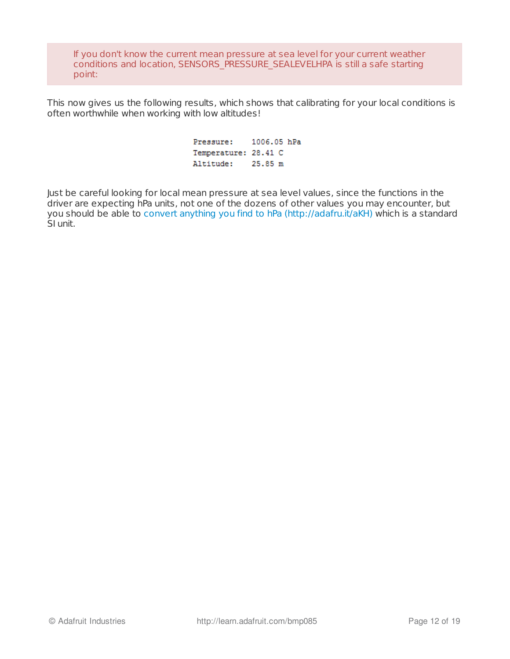If you don't know the current mean pressure at sea level for your current weather conditions and location, SENSORS\_PRESSURE\_SEALEVELHPA is still a safe starting point:

This now gives us the following results, which shows that calibrating for your local conditions is often worthwhile when working with low altitudes!

> Pressure: 1006.05 hPa Temperature: 28.41 C Altitude: 25.85 m

Just be careful looking for local mean pressure at sea level values, since the functions in the driver are expecting hPa units, not one of the dozens of other values you may encounter, but you should be able to convert [anything](http://www.engineeringtoolbox.com/pressure-units-converter-d_569.html) you find to hPa (http://adafru.it/aKH) which is a standard SI unit.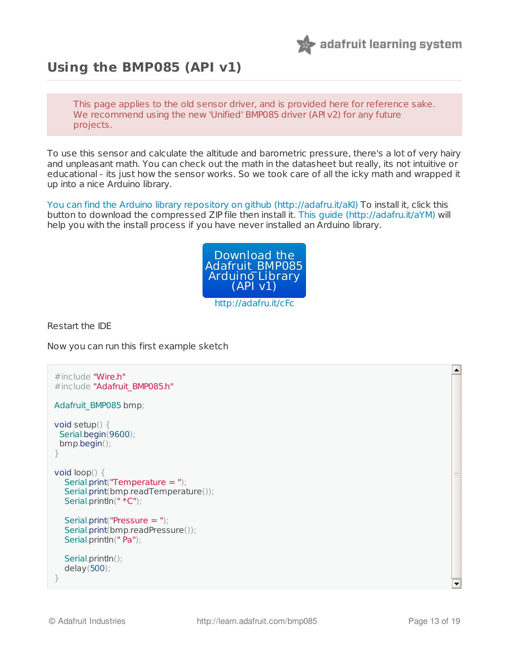

### <span id="page-12-0"></span>**Using the BMP085 (API v1)**

This page applies to the old sensor driver, and is provided here for reference sake. We recommend using the new 'Unified' BMP085 driver (API v2) for any future projects.

To use this sensor and calculate the altitude and barometric pressure, there's a lot of very hairy and unpleasant math. You can check out the math in the datasheet but really, its not intuitive or educational - its just how the sensor works. So we took care of all the icky math and wrapped it up into a nice Arduino library.

You can find the Arduino library [repository](https://github.com/adafruit/Adafruit-BMP085-Library) on github (http://adafru.it/aKI) To install it, click this button to download the compressed ZIP file then install it. This quide (http://adafru.it/aYM) will help you with the install process if you have never installed an Arduino library.



Restart the IDE

Now you can run this first example sketch

```
#include "Wire.h"
#include "Adafruit BMP085.h"
Adafruit_BMP085 bmp;
void setup() {
 Serial.begin(9600);
 bmp.begin();
}
void loop() {
  Serial.print("Temperature = ");
  Serial.print(bmp.readTemperature());
  Serial.println(" *C");
  Serial.print("Pressure = ");
  Serial.print(bmp.readPressure());
  Serial.println(" Pa");
  Serial.println();
  delay(500);
}
```
 $\overline{\phantom{0}}$ 

 $\vert \blacktriangle \vert$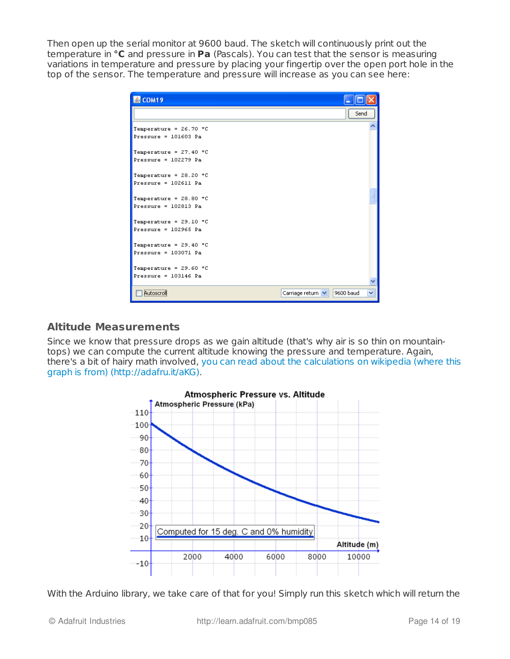Then open up the serial monitor at 9600 baud. The sketch will continuously print out the temperature in **°C** and pressure in **Pa** (Pascals). You can test that the sensor is measuring variations in temperature and pressure by placing your fingertip over the open port hole in the top of the sensor. The temperature and pressure will increase as you can see here:

| 图 COM19                                            |                                     |
|----------------------------------------------------|-------------------------------------|
|                                                    | Send                                |
| Temperature = $26.70$ *C<br>Pressure = $101603$ Pa |                                     |
| Temperature = $27.40$ *C<br>Pressure = $102279$ Pa |                                     |
| Temperature = $28.20$ *C<br>Pressure = 102611 Pa   |                                     |
| Temperature = $28.80$ *C<br>Pressure = $102813$ Pa |                                     |
| Temperature = $29.10$ *C<br>Pressure = $102965$ Pa |                                     |
| Temperature = $29.40$ *C<br>Pressure = $103071$ Pa |                                     |
| Temperature = $29.60$ *C<br>Pressure = $103146$ Pa |                                     |
| Autoscroll                                         | Carriage return V<br>9600 baud<br>v |

#### <span id="page-13-0"></span>**Altitude Measurements**

Since we know that pressure drops as we gain altitude (that's why air is so thin on mountaintops) we can compute the current altitude knowing the pressure and temperature. Again, there's a bit of hairy math involved, you can read about the calculations on wikipedia (where this graph is from) [\(http://adafru.it/aKG\).](http://en.wikipedia.org/wiki/Barometric_pressure)



With the Arduino library, we take care of that for you! Simply run this sketch which will return the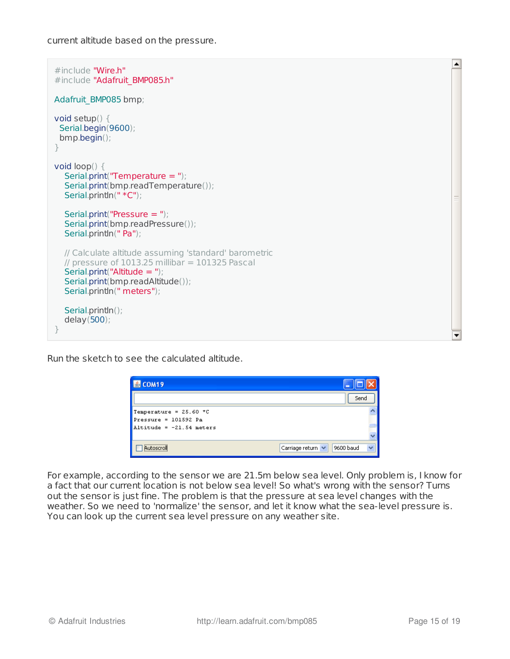current altitude based on the pressure.

```
#include "Wire.h"
#include "Adafruit BMP085.h"
Adafruit_BMP085 bmp;
void setup() {
 Serial.begin(9600);
 bmp.begin();
}
void loop() {
  Serial.print("Temperature = ");
  Serial.print(bmp.readTemperature());
  Serial.println(" *C");
  Serial.print("Pressure = ");
  Serial.print(bmp.readPressure());
  Serial.println(" Pa");
  // Calculate altitude assuming 'standard' barometric
  \frac{1}{2} pressure of 1013.25 millibar = 101325 Pascal
  Serial.print("Altitude = ");
  Serial.print(bmp.readAltitude());
  Serial.println(" meters");
  Serial.println();
  delay(500);
}
```
Run the sketch to see the calculated altitude.

| $\triangle$ COM19                                    |                                               |
|------------------------------------------------------|-----------------------------------------------|
|                                                      | Send                                          |
| Temperature = $25.60$ *C                             |                                               |
| $Pressure = 101592 Pa$<br>Altitude = $-21.54$ meters |                                               |
|                                                      |                                               |
| Autoscroll                                           | $\ddotmark$<br>9600 baud<br>Carriage return V |

For example, according to the sensor we are 21.5m below sea level. Only problem is, I know for a fact that our current location is not below sea level! So what's wrong with the sensor? Turns out the sensor is just fine. The problem is that the pressure at sea level changes with the weather. So we need to 'normalize' the sensor, and let it know what the sea-level pressure is. You can look up the current sea level pressure on any weather site.

L

 $\overline{\phantom{0}}$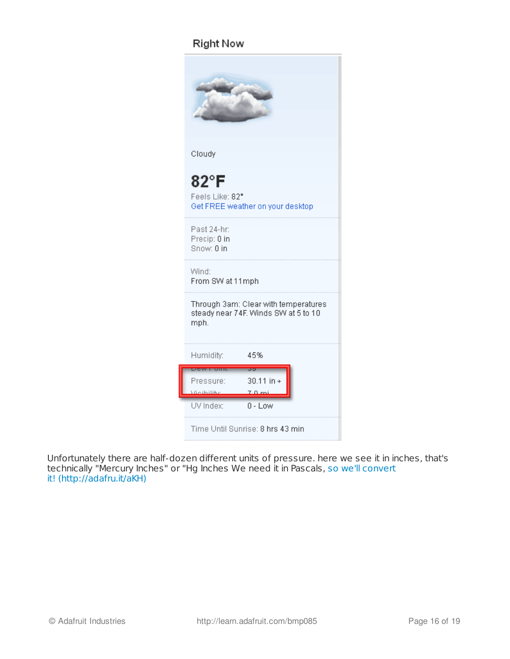### **Right Now**

| Cloudy                                                                                                                       |
|------------------------------------------------------------------------------------------------------------------------------|
| 82°F<br>Feels Like: 82"<br>Get FREE weather on your desktop                                                                  |
| Past 24-hr:<br>Precip: 0 in<br>Snow: 0 in                                                                                    |
| Wind:<br>From SW at 11mph                                                                                                    |
| Through 3am: Clear with temperatures<br>steady near 74F. Winds SW at 5 to 10<br>mph.                                         |
| 45%<br>Humidity:                                                                                                             |
| <b>PARAMENTE DI LIBI</b><br>aar<br>30.11 in +<br>Pressure:<br><b>Molbilike</b><br>$7.0 \text{ mi}$<br>UV Index:<br>$0 - Low$ |
| Time Until Sunrise: 8 hrs 43 min                                                                                             |

Unfortunately there are half-dozen different units of pressure. here we see it in inches, that's technically "Mercury Inches" or "Hg Inches We need it in Pascals, so we'll convert it! [\(http://adafru.it/aKH\)](http://www.engineeringtoolbox.com/pressure-units-converter-d_569.html)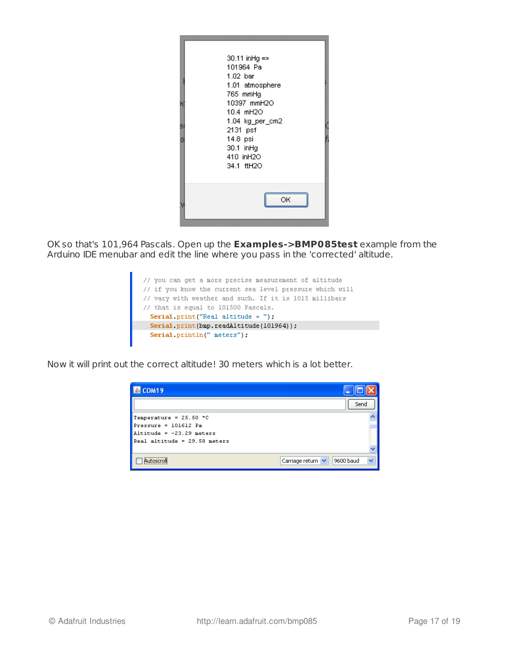|    | 30.11 inHg =><br>101964 Pa<br>1.02 bar<br>1.01 atmosphere |
|----|-----------------------------------------------------------|
| θſ | 765 mmHq<br>10397 mmH2O                                   |
|    | 10.4 mH2O                                                 |
|    | 1.04 kg per cm2<br>2131 psf                               |
|    | 14.8 psi<br>30.1 inHg                                     |
|    | 410 inH2O                                                 |
|    | 34.1 ftH2O                                                |
|    |                                                           |
|    | OΚ                                                        |

OK so that's 101,964 Pascals. Open up the **Examples->BMP085test** example from the Arduino IDE menubar and edit the line where you pass in the 'corrected' altitude.

// you can get a more precise measurement of altitude // if you know the current sea level pressure which will<br>// vary with weather and such. If it is 1015 millibars<br>// that is equal to 101500 Pascals.<br>**Serial.print("Real altitude = ");**<br>**Serial.print(bmp.readAltitude (101964** Serial println(" meters");

Now it will print out the correct altitude! 30 meters which is a lot better.

| $\triangle$ COM19              |                                |
|--------------------------------|--------------------------------|
|                                | Send                           |
| Temperature = $25.50$ *C       |                                |
| $Pressure = 101612$ Pa         |                                |
| Altitude = $-23.29$ meters     |                                |
| $Real altitude = 29.58 meters$ |                                |
|                                |                                |
| <br>iu ihosci                  | 9600 baud<br>Carriage return V |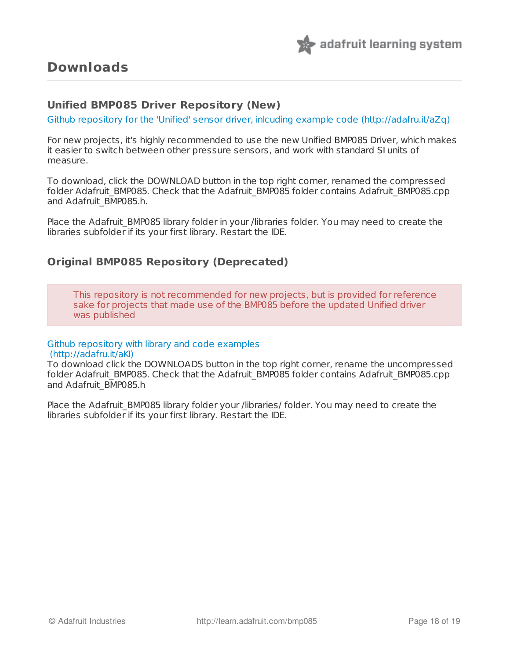

#### <span id="page-17-1"></span><span id="page-17-0"></span>**Unified BMP085 Driver Repository (New)**

Github [repository](https://github.com/adafruit/Adafruit_BMP085_Unified) for the 'Unified' sensor driver, inlcuding example code (http://adafru.it/aZq)

For new projects, it's highly recommended to use the new Unified BMP085 Driver, which makes it easier to switch between other pressure sensors, and work with standard SI units of measure.

To download, click the DOWNLOAD button in the top right corner, renamed the compressed folder Adafruit\_BMP085. Check that the Adafruit\_BMP085 folder contains Adafruit\_BMP085.cpp and Adafruit\_BMP085.h.

Place the Adafruit BMP085 library folder in your /libraries folder. You may need to create the libraries subfolder if its your first library. Restart the IDE.

#### <span id="page-17-2"></span>**Original BMP085 Repository (Deprecated)**

This repository is not recommended for new projects, but is provided for reference sake for projects that made use of the BMP085 before the updated Unified driver was published

#### Github [repository](https://github.com/adafruit/Adafruit-BMP085-Library) with library and code examples (http://adafru.it/aKI)

To download click the DOWNLOADS button in the top right corner, rename the uncompressed folder Adafruit\_BMP085. Check that the Adafruit\_BMP085 folder contains Adafruit\_BMP085.cpp and Adafruit\_BMP085.h

Place the Adafruit BMP085 library folder your /libraries/ folder. You may need to create the libraries subfolder if its your first library. Restart the IDE.